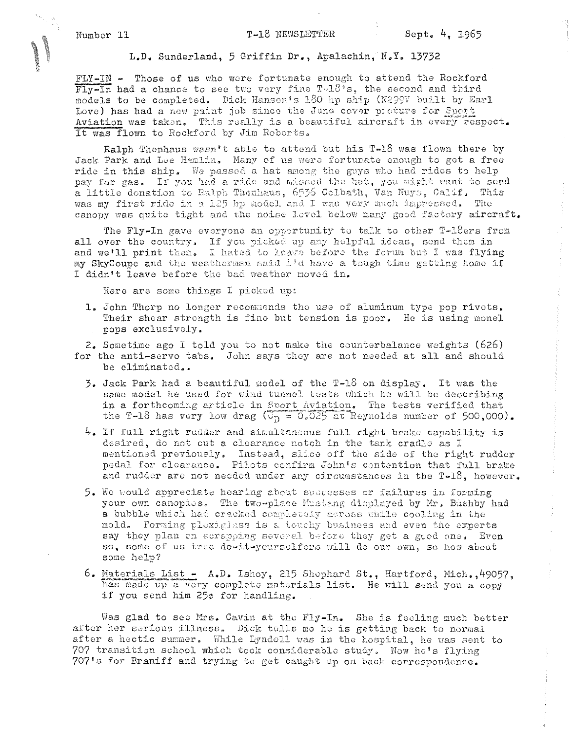## T-18 NEWSLETTER

 $\hat{\vec{r}}$ 

 $\hat{\psi}$ 

L.D. Sunderland, 5 Griffin Dr., Apalachin, N.Y. 13732

FLY-IN - Those of us who were fortunate enough to attend the Rockford  $\overline{\text{Fly}}$ -In had a chance to see two very fine T.18<sup>4</sup>s, the second and third models to be completed. Dick Hansen's 180 hp ship (N299V built by Earl Love) has had a new paint job since the June cover picture for Sport Aviation was taken. This really is a beautiful aircraft in every respect. It was flown to Rockford by Jim Roberts.

Ralph Thenhaus wasn't able to attend but his T-18 was flown there by Jack Park and Lue Hamlin, Many of us were fortunate enough to get a free ride in this ship. We passed a hat among the guys who had rides to help pay for gas. If you had a ride and missed the hat, you might want to send a little donation to Ralph Thenhaus, 6536 Colbath, Van Nuys, Calif. This was my first ride in a 125 bp model and I was very much impressed. The canopy was quite tight and the noise level below many good factory aircraft.

The Fly-In gave everyone an opportunity to talk to other T-18ers from all over the country. If you picked up any helpful ideas, send them in and we'll print them. I hated to leave before the forum but I was flying my SkyCoupe and the weatherman said I'd have a tough time getting home if I didn't leave before the bad weather moved in.

Here are some things I picked up:

1. John Thorp no longer recommends the use of aluminum type pop rivets. Their shear strength is fine but tension is poor. He is using monel pops exclusively.

2. Sometime ago I told you to not make the counterbalance weights (626) for the anti-servo tabs. John says they are not needed at all and should be eliminated..

- 3. Jack Park had a beautiful model of the T-18 on display. It was the same model he used for wind tunnel tests which he will be describing in a forthcoming article in Stort Aviation. The tests verified that the T-18 has very low drag ( $\overline{\mathbb{G}_D} = 0.025$  at Reynolds number of 500,000).
- $4.$  If full right rudder and simultaneous full right brake capability is desired, do not cut a clearance notch in the tank cradle as I mentioned previously. Instead, slice off the side of the right rudder pedal for clearance. Pilots confirm John's contention that full brake and rudder are not needed under any circumstances in the T-18, however.
- 5. We would appreciate hearing about successes or failures in forming your own canopies. The two-place Mustang displayed by Mr. Bushby had a bubble which had cracked completely across while cooling in the mold. Forming plexiglass is a touchy business and even the experts say they plan on scrapping several before they get a good one. Even so, some of us true do-it-yourselfers will do our own, so how about some help?
- 6. Materials List  $A.D.$  Ishoy, 215 Shephard St., Hartford, Mich., 49057, has made up a very complete materials list. He will send you a copy if you send him 25¢ for handling.

Was glad to see Mrs. Cavin at the Fly-In. She is feeling much better after her serious illness. Dick tolls me he is getting back to normal after a hectic summer. While Lyndell was in the hospital, he was sent to 707 transition school which took considerable study. Now he's flying 707's for Braniff and trying to get caught up on back correspondence.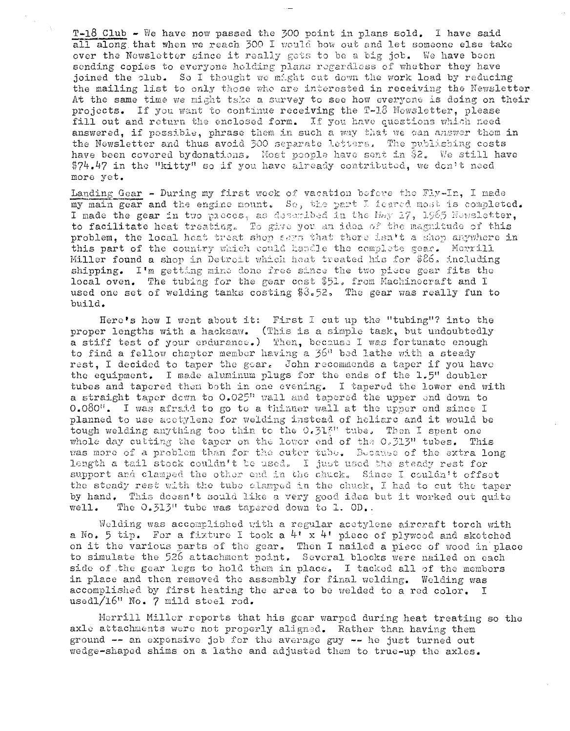$T-18$  Club - We have now passed the 300 point in plans sold. I have said all along that when we reach 300 I would bow out and let someone else take over the Newsletter since it really gets to be a big job. We have been sending copies to everyone holding plans regardless of whether they have joined the club. So I thought we might cut down the work load by reducing the mailing list to only those who are interested in receiving the Newsletter. At the same time we might take a survey to see how everyone is doing on their projects. If you want to continue receiving the T-18 Newsletter, please fill out and return the enclosed form. If you have questions which need answered, if possible, phrase them in such a way that we can answer them in the Newsletter and thus avoid 300 separate letters. The publishing costs have been covered by donations. Most people have sent in \$2. We still have \$74.47 in the "kitty" so if you have already contributed, we don't need more yet.

 $\Delta$ 

Landing Gear - During my first week of vacation before the Fly-In, I made my main gear and the engine mount. So, the part I feared most is completed. I made the gear in two pheces, as described in the May 17, 1965 Newsletter, to facilitate heat treating. To give you an idea of the magnitude of this problem, the local heat treat shop seys that there isn't a shop anywhere in this part of the country which could handle the complete gear. Merrill Miller found a shop in Detroit which heat treated his for \$26, including shipping. I'm getting mine done free since the two piece gear fits the local oven. The tubing for the gear cost \$51, from Machinecraft and I used one set of welding tanks costing  $$3.52$ , The gear was really fun to build.

Here's how I went about it: First I cut up the "tubing"? into the proper lengths with a hacksaw. (This is a simple task, but undoubtedly a stiff test of your endurance.) Then, because I was fortunate enough to find a fellow chapter member having a 36" bed lathe with a steady rest. I decided to taper the goar. John recommonds a taper if you have the equipment. I made aluminum plugs for the ends of the 1.5" doubler tubes and tapered then both in one evening. I tapered the lower end with a straight taper down to 0.025" wall and tapered the upper end down to 0.080". I was afraid to go to a thinner wall at the upper end since I planned to use acetylene for welding instead of heliarc and it would be tough welding anything too thin to the 0.313" tube. Then I spent one whole day cutting the taper on the lower end of the 0.313" tubes. This was more of a problem than for the outer tube. Because of the extra long length a tail stock couldn't be used. I just used the steady rest for support and clamped the other end in the chuck. Since I couldn't offset the steady rest with the tube clamped in the chuck. I had to cut the taper by hand. This doesn't sould like a very good idea but it worked out quite  $well.$ The 0.513" tube was tapered down to 1. OD.

Welding was accomplished with a regular acetylene aircraft torch with a No. 5 tip. For a fixture I took a  $4! \times 4!$  piece of plywood and sketched on it the various parts of the gear. Then I nailed a piece of wood in place to simulate the 526 attachment point. Several blocks were nailed on each side of the gear legs to hold them in place. I tacked all of the members in place and then removed the assembly for final welding. Welding was accomplished by first heating the area to be welded to a red color. I usedl/16" No. 7 mild stoel rod.

Merrill Miller reports that his gear warped during heat treating so the axle attachments were not properly aligned. Rather than having them ground -- an expensive job for the average guy -- he just turned out wedge-shaped shims on a lathe and adjusted them to true-up the axles.